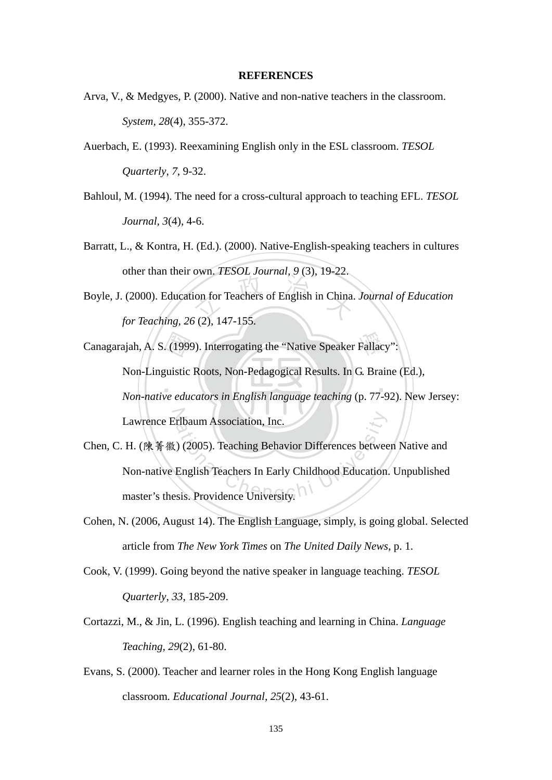## **REFERENCES**

- Arva, V., & Medgyes, P. (2000). Native and non-native teachers in the classroom. *System, 28*(4), 355-372.
- Auerbach, E. (1993). Reexamining English only in the ESL classroom. *TESOL Quarterly*, *7*, 9-32.
- Bahloul, M. (1994). The need for a cross-cultural approach to teaching EFL. *TESOL Journal, 3*(4), 4-6.
- Barratt, L., & Kontra, H. (Ed.). (2000). Native-English-speaking teachers in cultures other than their own. *TESOL Journal, 9* (3), 19-22.
- $\frac{1}{2}$  (3), 15  $\frac{1}{2}$ <br>ion for Teachers of English in China. Boyle, J. (2000). Education for Teachers of English in China. *Journal of Education for Teaching, 26* (2), 147-155.

 $\mathcal{L}$  ,  $\mathcal{L}$  ,  $\mathcal{L}$  ,  $\mathcal{L}$  ,  $\mathcal{L}$ Canagarajah, A. S. (1999). Interrogating the "Native Speaker Fallacy":<br>Non-Linguistic Roots, Non-Pedagogical Results. In G. Braine **Lawrence Erlbaum Association, Inc.** Non-Linguistic Roots, Non-Pedagogical Results. In G. Braine (Ed.), *Non-native educators in English language teaching* (p. 77-92). New Jersey:

- Lawrence Erlbaum Association, Inc.<br>
H. (陳菁徽) (2005). Teaching Behavior Differences betwee<br>
Non-native English Teachers In Early Childhood Education<br>
master's thesis. Providence University. Chen, C. H. (陳菁徽) (2005). Teaching Behavior Differences between Native and Non-native English Teachers In Early Childhood Education. Unpublished
- Cohen, N. (2006, August 14). The English Language, simply, is going global. Selected article from *The New York Times* on *The United Daily News*, p. 1.
- Cook, V. (1999). Going beyond the native speaker in language teaching. *TESOL Quarterly*, *33*, 185-209.
- Cortazzi, M., & Jin, L. (1996). English teaching and learning in China. *Language Teaching, 29*(2), 61-80.
- Evans, S. (2000). Teacher and learner roles in the Hong Kong English language classroom. *Educational Journal, 25*(2), 43-61.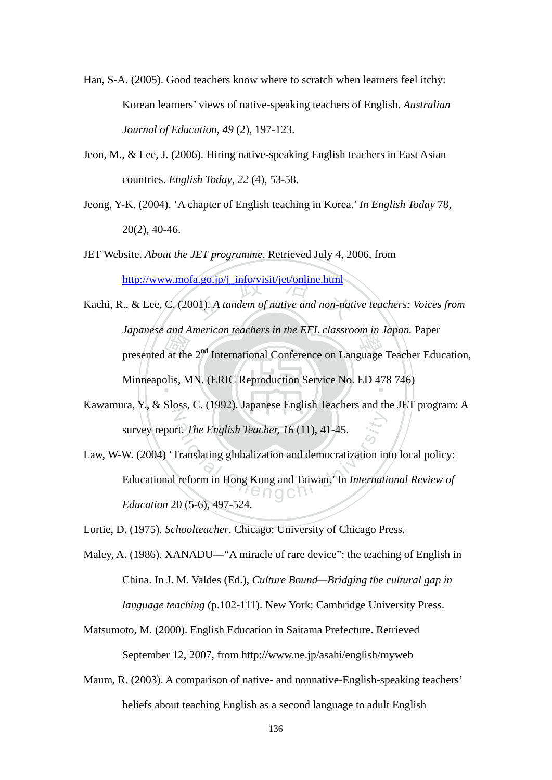- Han, S-A. (2005). Good teachers know where to scratch when learners feel itchy: Korean learners' views of native-speaking teachers of English. *Australian Journal of Education, 49* (2), 197-123.
- Jeon, M., & Lee, J. (2006). Hiring native-speaking English teachers in East Asian countries. *English Today*, *22* (4), 53-58.
- Jeong, Y-K. (2004). 'A chapter of English teaching in Korea.' *In English Today* 78, 20(2), 40-46.
- JET Website. *About the JET programme*. Retrieved July 4, 2006, from
- presented at the  $2<sup>nd</sup>$  International Conference on Language Teacher Education,<br>Minneapolis, MN. (ERIC Reproduction Service No. ED 478 746) http://www.mofa.go.jp/j\_info/visit/jet/online.html<br>.., & Lee, C. (2001). A tandem of native and non-nation Minneapolis, MN. (ERIC Reproduction Service No. ED 478 746) Kachi, R., & Lee, C. (2001). *A tandem of native and non-native teachers: Voices from Japanese and American teachers in the EFL classroom in Japan.* Paper
- N Kawamura, Y., & Sloss, C. (1992). Japanese English Teachers and the JET program: A survey report. *The English Teacher, 16* (11), 41-45.
- rt. *The English Teacher*, 16 (11), 41-45.<br>
Franslating globalization and democratization in<br>
reform in Hong Kong and Taiwan.' In *Internati* Law, W-W. (2004) 'Translating globalization and democratization into local policy: Educational reform in Hong Kong and Taiwan.' In *International Review of Education* 20 (5-6), 497-524.

Lortie, D. (1975). *Schoolteacher*. Chicago: University of Chicago Press.

- Maley, A. (1986). XANADU—"A miracle of rare device": the teaching of English in China. In J. M. Valdes (Ed.), *Culture Bound—Bridging the cultural gap in language teaching* (p.102-111). New York: Cambridge University Press.
- Matsumoto, M. (2000). English Education in Saitama Prefecture. Retrieved September 12, 2007, from http://www.ne.jp/asahi/english/myweb
- Maum, R. (2003). A comparison of native- and nonnative-English-speaking teachers' beliefs about teaching English as a second language to adult English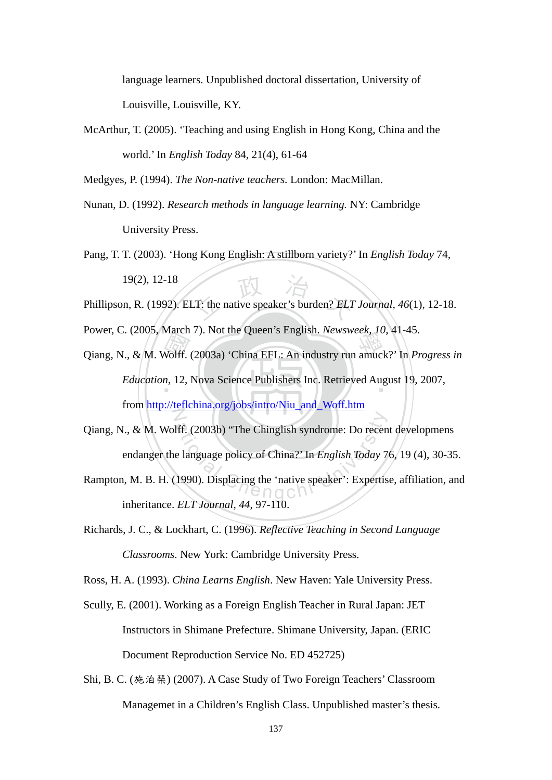language learners. Unpublished doctoral dissertation, University of Louisville, Louisville, KY.

McArthur, T. (2005). 'Teaching and using English in Hong Kong, China and the world.' In *English Today* 84, 21(4), 61-64

Medgyes, P. (1994). *The Non-native teachers.* London: MacMillan.

- Nunan, D. (1992). *Research methods in language learning.* NY: Cambridge University Press.
- $\overrightarrow{T}$ : the native speaker's burden?  $ELT$ Pang, T. T. (2003). 'Hong Kong English: A stillborn variety?' In *English Today* 74, 19(2), 12-18
- Phillipson, R. (1992). ELT: the native speaker's burden? *ELT Journal, 46*(1), 12-18.
- Power, C. (2005, March 7). Not the Queen's English. *Newsweek, 10*, 41-45.
- Power, C. (2005, March 7). Not the Queen's English: *Newsweek*, 10, 41-45.<br>Qiang, N., & M. Wolff. (2003a) 'China EFL: An industry run amuck?' In *Progress in*<br>*Education*, 12, Nova Science Publishers Inc. Retrieved August Education, 12, Nova Science Publishers Inc. Retrieved August 19, 2007,  $\overline{Z}$ from http://teflchina.org/jobs/intro/Niu\_and\_Woff.htm
- 1990). The Chinglish syndrome: Do recent<br>
e language policy of China?' In English Today 7<br>
1990). Displacing the 'native speaker': Expertis Qiang, N., & M. Wolff. (2003b) "The Chinglish syndrome: Do recent developmens endanger the language policy of China?' In *English Today* 76, 19 (4), 30-35.
- Rampton, M. B. H. (1990). Displacing the 'native speaker': Expertise, affiliation, and inheritance. *ELT Journal, 44*, 97-110.
- Richards, J. C., & Lockhart, C. (1996). *Reflective Teaching in Second Language Classrooms*. New York: Cambridge University Press.

Ross, H. A. (1993). *China Learns English*. New Haven: Yale University Press.

- Scully, E. (2001). Working as a Foreign English Teacher in Rural Japan: JET Instructors in Shimane Prefecture. Shimane University, Japan. (ERIC Document Reproduction Service No. ED 452725)
- Shi, B. C. (施泊琹) (2007). A Case Study of Two Foreign Teachers' Classroom Managemet in a Children's English Class. Unpublished master's thesis.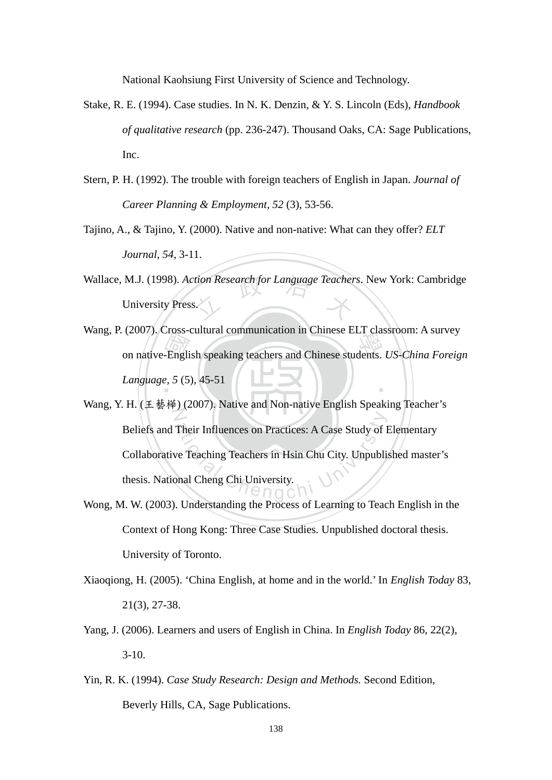National Kaohsiung First University of Science and Technology.

- Stake, R. E. (1994). Case studies. In N. K. Denzin, & Y. S. Lincoln (Eds), *Handbook of qualitative research* (pp. 236-247). Thousand Oaks, CA: Sage Publications, Inc.
- Stern, P. H. (1992). The trouble with foreign teachers of English in Japan. *Journal of Career Planning & Employment, 52* (3), 53-56.
- Tajino, A., & Tajino, Y. (2000). Native and non-native: What can they offer? *ELT Journal, 54*, 3-11.
- Wallace, M.J. (1998). *Action Research for Language Teachers*. New York: Cambridge<br>University Press. University Press.
- Language, 5 (5), 45-51<br>
We are the speaking teachers and Chinese students. *US-China Foreign*<br>
Language, 5 (5), 45-51 ‧ Wang, P. (2007). Cross-cultural communication in Chinese ELT classroom: A survey *Language, 5* (5), 45-51
- Z Their Influences on Practices: A Case Study of I<br>ve Teaching Teachers in Hsin Chu City. Unpubli<br>phal Cheng Chi University. Wang, Y. H. (王藝樺) (2007). Native and Non-native English Speaking Teacher's Beliefs and Their Influences on Practices: A Case Study of Elementary Collaborative Teaching Teachers in Hsin Chu City. Unpublished master's thesis. National Cheng Chi University.
- Wong, M. W. (2003). Understanding the Process of Learning to Teach English in the Context of Hong Kong: Three Case Studies. Unpublished doctoral thesis. University of Toronto.
- Xiaoqiong, H. (2005). 'China English, at home and in the world.' In *English Today* 83, 21(3), 27-38.
- Yang, J. (2006). Learners and users of English in China. In *English Today* 86, 22(2),  $3-10.$
- Yin, R. K. (1994). *Case Study Research: Design and Methods.* Second Edition, Beverly Hills, CA, Sage Publications.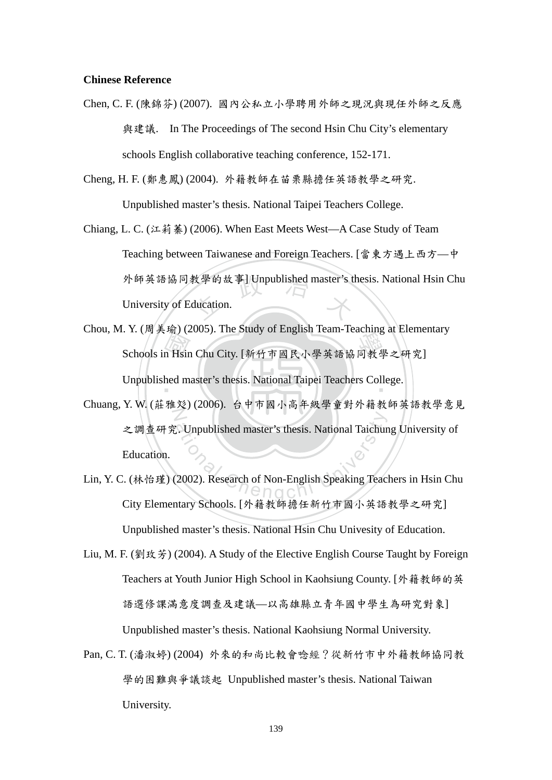## **Chinese Reference**

Chen, C. F. (陳錦芬) (2007). 國內公私立小學聘用外師之現況與現任外師之反應 與建議. In The Proceedings of The second Hsin Chu City's elementary schools English collaborative teaching conference, 152-171.

Cheng, H. F. (鄭惠鳳) (2004). 外籍教師在苗栗縣擔任英語教學之研究.

Unpublished master's thesis. National Taipei Teachers College.

- 外師英語協同教學的故事] Unpublished master's thesis. National Hsin Chu<br>University of Education. Chiang, L. C. (江莉蓁) (2006). When East Meets West—A Case Study of Team Teaching between Taiwanese and Foreign Teachers. [當東方遇上西方—中 University of Education.
- n Hsir<br>hed m . 1. (同共和) (2005). The Study of English Team-Teaching at Element<br>Schools in Hsin Chu City. [新竹市國民小學英語協同教學之研究] Unpublished master's thesis. National Taipei Teachers College. Chou, M. Y. (周美瑜) (2005). The Study of English Team-Teaching at Elementary
- N Chenglished master's thesis. National Taichur<br>
2002). Research of Non-English Speaking Teach<br>
2002). Research of Non-English Speaking Teach Chuang, Y. W. (莊雅彣) (2006). 台中市國小高年級學童對外籍教師英語教學意見 之調查研究. Unpublished master's thesis. National Taichung University of Education.
- Lin, Y. C. (林怡瑾) (2002). Research of Non-English Speaking Teachers in Hsin Chu City Elementary Schools. [外籍教師擔任新竹市國小英語教學之研究] Unpublished master's thesis. National Hsin Chu Univesity of Education.
- Liu, M. F. (劉玫芳) (2004). A Study of the Elective English Course Taught by Foreign Teachers at Youth Junior High School in Kaohsiung County. [外籍教師的英 語選修課滿意度調查及建議—以高雄縣立青年國中學生為研究對象] Unpublished master's thesis. National Kaohsiung Normal University.
- Pan, C. T. (潘淑婷) (2004) 外來的和尚比較會唸經?從新竹市中外籍教師協同教 學的困難與爭議談起 Unpublished master's thesis. National Taiwan University.